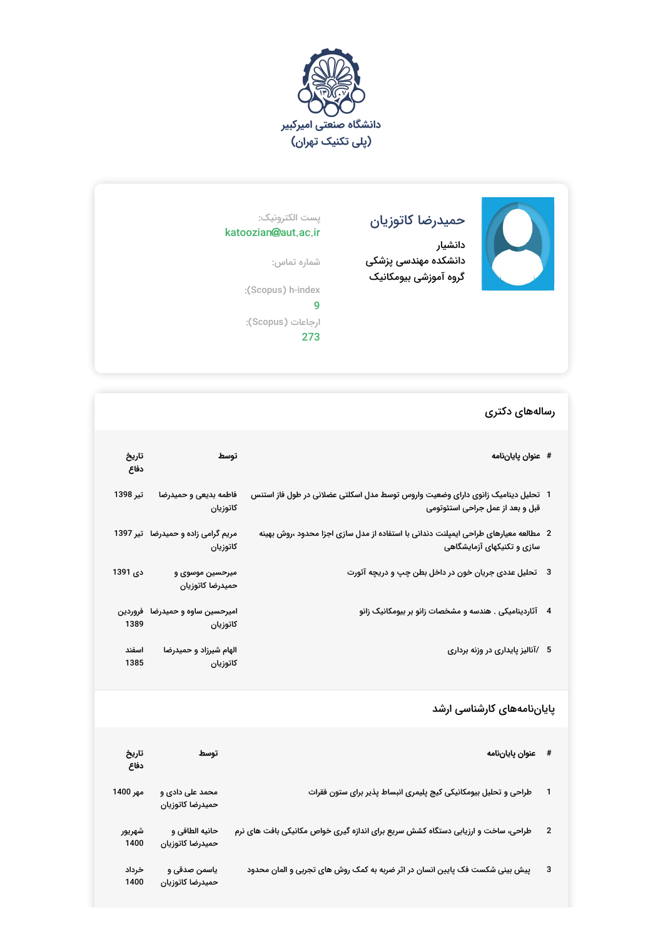



## حمیدرضا کاتوزیان

دانشیار دانشکده مهندسی پزشکی گروه آموزشی بیومکانیک

## پست الکترونیک: katoozian@aut.ac.ir

شماره تماس: :(Scopus) h-index

9 ارجاعات (Scopus(: 273

## رسالههای دکتری

| # عنوان پاياننامه                                                                                                     | توسط                                             | تاريخ<br>دفاع |
|-----------------------------------------------------------------------------------------------------------------------|--------------------------------------------------|---------------|
| 1   تحلیل دینامیک زانوی دارای وضعیت واروس توسط مدل اسکلتی عضلانی در طول فاز استنس<br>قبل و بعد از عمل جراحی استئوتومی | فاطمه بديعى و حميدرضا<br>كاتوزيان                | تير 1398      |
| 2٪ مطالعه معیارهای طراحی ایمپلنت دندانی با استفاده از مدل سازی اجزا محدود ،روش بهینه<br>سازی و تکنیکهای آزمایشگاهی    | مریم گرامی زاده و حمیدرضا   تیر 1397<br>كاتوزيان |               |
| 3    تحلیل عددی جریان خون در داخل بطن چپ و دریچه آئورت                                                                | میرحسین موسوی و<br>حميدرضا كاتوزيان              | دى 1391       |
| 4 آثاردینامیکی . هندسه و مشخصات زانو بر بیومکانیک زانو                                                                | امیرحسین ساوه و حمیدرضا فروردین<br>كاتوزيان 1389 |               |
| 5 ⁄آنالیز پایداری در وزنه برداری                                                                                      | الهام شیرزاد و حمیدرضا<br>كاتوزيان               | اسفند<br>1385 |

## پایاننامههای کارشناسی ارشد

|                         | # منوان پاياننامه                                                                | توسط                                | تاريخ<br>دفاع  |
|-------------------------|----------------------------------------------------------------------------------|-------------------------------------|----------------|
|                         | طراحی و تحلیل بیومکانیکی کیج پلیمری انبساط پذیر برای ستون فقرات                  | محمد علی دادی و<br>حميدرضا كاتوزيان | مهر 1400       |
| $\overline{\mathbf{2}}$ | طراحی، ساخت و ارزیابی دستگاه کشش سریع برای اندازه گیری خواص مکانیکی بافت های نرم | حانيه الطافي و<br>حميدرضا كاتوزيان  | شهريور<br>1400 |
| 3                       | پیش بینی شکست فک پایین انسان در اثر ضربه به کمک روش های تجربی و المان محدود      | ياسمن صدقى و<br>حميدرضا كاتوزيان    | خرداد<br>1400  |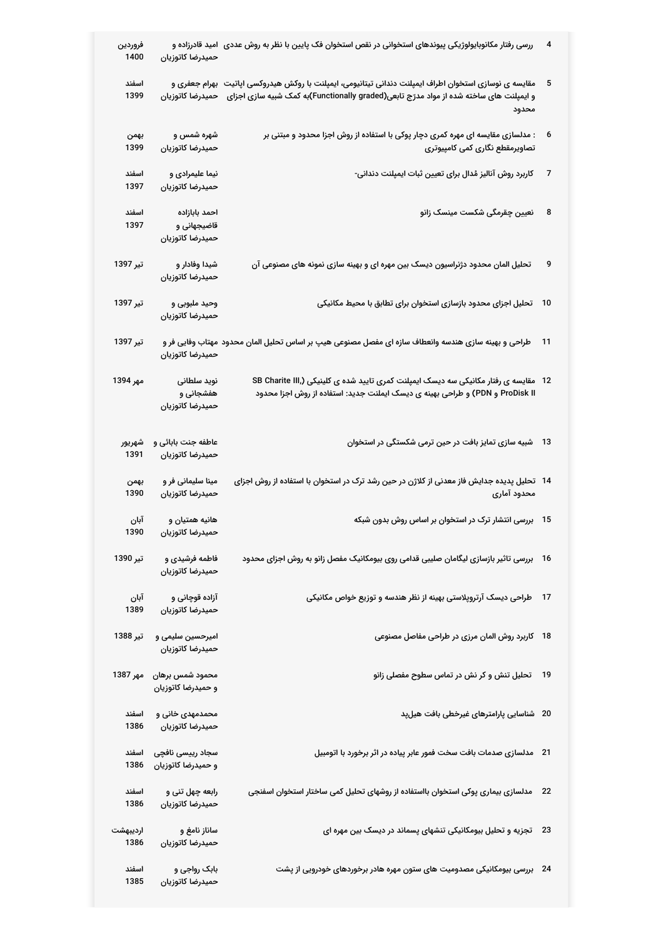| فروردين<br>1400  | حميدرضا كاتوزيان                                 | ررسی رفتار مکانوبایولوژیکی پیوندهای استخوانی در نقص استخوان فک پایین با نظر به روش عددی   امید قادرزاده و                                                                                                                     | 4    |
|------------------|--------------------------------------------------|-------------------------------------------------------------------------------------------------------------------------------------------------------------------------------------------------------------------------------|------|
| اسفند<br>1399    |                                                  | مقایسه ی نوسازی استخوان اطراف ایمپلنت دندانی تیتانیومی، ایمپلنت با روکش هیدروکسی اپاتیت  بهرام جعفری و<br>و ایمپلنت های ساخته شده از مواد مدرّج تابعی(Functionally graded)به کمک شبیه سازی اجزای    حمیدرضا کاتوزیان<br>محدود | 5    |
| بهمن<br>1399     | شهره شمس و<br>حميدرضا كاتوزيان                   | : مدلسازی مقایسه ای مهره کمری دچار پوکی با استفاده از روش اجزا محدود و مبتنی بر<br>تصاویرمقطع نگاری کمی کامپیوتری                                                                                                             | 6    |
| اسفند<br>1397    | نیما علیمرادی و<br>حميدرضا كاتوزيان              | کاربرد روش آنالیز مُدال برای تعیین ثبات ایمپلنت دندانی-                                                                                                                                                                       | 7    |
| اسفند<br>1397    | احمد بابازاده<br>قاضیجهانی و<br>حميدرضا كاتوزيان | نعیین چقرمگی شکست مینسک زانو                                                                                                                                                                                                  | 8    |
| تیر 1397         | شیدا وفادار و<br>حميدرضا كاتوزيان                | تحلیل المان محدود دژنراسیون دیسک بین مهره ای و بهینه سازی نمونه های مصنوعی آن                                                                                                                                                 | 9    |
| تير 1397         | وحید ملبوبی و<br>حميدرضا كاتوزيان                | تحلیل اجزای محدود بازسازی استخوان برای تطابق با محیط مکانیکی                                                                                                                                                                  | 10   |
| تير 1397         | حميدرضا كاتوزيان                                 | طراحی و بهینه سازی هندسه وانعطاف سازه ای مفصل مصنوعی هیپ بر اساس تحلیل المان محدود مهتاب وفایی فر و                                                                                                                           | 11   |
| مهر 1394         | نوید سلطانی<br>هفشجانی و<br>حميدرضا كاتوزيان     | 12 مقایسه ی رفتار مکانیکی سه دیسک ایمپلنت کمری تایید شده ی کلینیکی (SB Charite III<br>ProDisk II و PDN) و طراحی بهینه ی دیسک ایملنت جدید: استفاده از روش اجزا محدود                                                           |      |
| شهريور<br>1391   | عاطفه جنت بابائی و<br>حميدرضا كاتوزيان           | 13 ٪ شبیه سازی تمایز بافت در حین ترمی شکستگی در استخوان                                                                                                                                                                       |      |
| بهمن<br>1390     | مینا سلیمانی فر و<br>حميدرضا كاتوزيان            | 14   تحلیل پدیده جدایش فاز معدنی از کلاژن در حین رشد ترک در استخوان با استفاده از روش اجزای<br>محدود آماری                                                                                                                    |      |
| آبان<br>1390     | هانيه همتيان و<br>حميدرضا كاتوزيان               | 15   بررسی انتشار ترک در استخوان بر اساس روش بدون شبکه                                                                                                                                                                        |      |
| تير 1390         | فاطمه فرشیدی و<br>حميدرضا كاتوزيان               | بررسی تاثیر بازسازی لیگامان صلیبی قدامی روی بیومکانیک مفصل زانو به روش اجزای محدود                                                                                                                                            | - 16 |
| آبان<br>1389     | آزاده قوچانی و<br>حميدرضا كاتوزيان               | طراحی دیسک آرتروپلاستی بهینه از نظر هندسه و توزیع خواص مکانیکی                                                                                                                                                                | 17   |
| تير 1388         | امیرحسین سلیمی و<br>حميدرضا كاتوزيان             | کاربرد روش المان مرزی در طراحی مفاصل مصنوعی                                                                                                                                                                                   | 18   |
| مهر 1387         | محمود شمس برهان<br>و حمیدرضا کاتوزیان            | تحلیل تنش و کر نش در تماس سطوح مفصلی زانو                                                                                                                                                                                     | 19   |
| اسفند<br>1386    | محمدمهدی خانی و<br>حميدرضا كاتوزيان              | 20 شناسایی پارامترهای غیرخطی بافت هیلپد                                                                                                                                                                                       |      |
| اسفند<br>1386    | سجاد رییسی نافچی<br>و حمیدرضا کاتوزیان           | 21 مدلسازی صدمات بافت سخت فمور عابر پیاده در اثر برخورد با اتومبیل                                                                                                                                                            |      |
| اسفند<br>1386    | رابعه چهل تنی و<br>حميدرضا كاتوزيان              | مدلسازی بیماری پوکی استخوان بااستفاده از روشهای تحلیل کمی ساختار استخوان اسفنجی                                                                                                                                               | 22   |
| ارديبهشت<br>1386 | ساناز نامغ و<br>حميدرضا كاتوزيان                 | 23 ٪ تجزیه و تحلیل بیومکانیکی تنشهای پسماند در دیسک بین مهره ای                                                                                                                                                               |      |
| اسفند<br>1385    | بابک رواجی و<br>حميدرضا كاتوزيان                 | 24 ٪ بررسی بیومکانیکی مصدومیت های ستون مهره هادر برخوردهای خودرویی از پشت                                                                                                                                                     |      |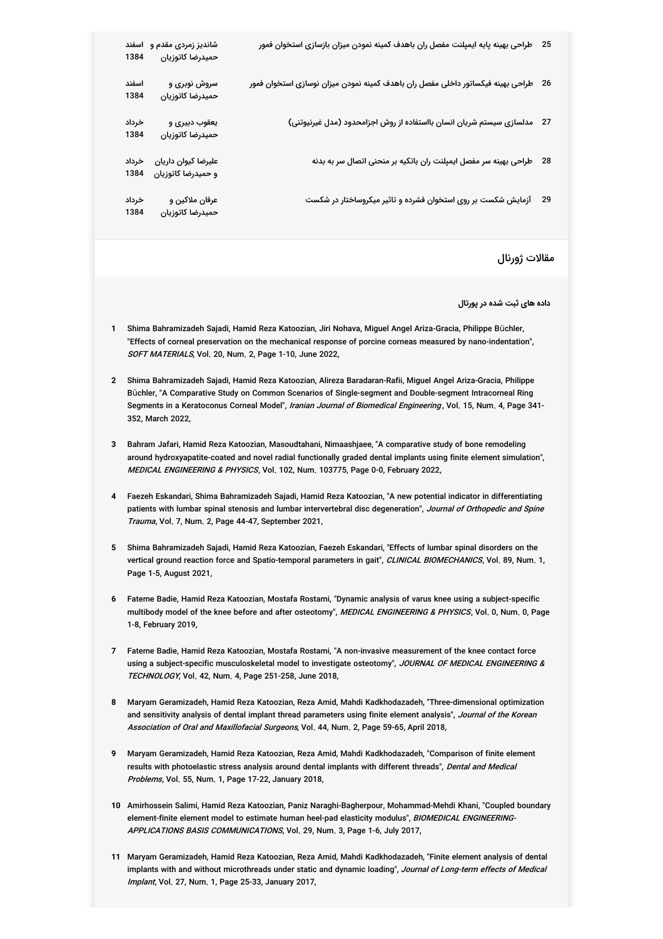| -25 | طراحی بهینه پایه ایمپلنت مفصل ران باهدف کمینه نمودن میزان بازسازی استخوان فمور  | شاندیز زمردی مقدم و   اسفند<br>حميدرضا كاتوزيان | 1384          |
|-----|---------------------------------------------------------------------------------|-------------------------------------------------|---------------|
| -26 | طراحى بهينه فيكساتور داخلى مفصل ران باهدف كمينه نمودن ميزان نوسازى استخوان فمور | سروش نوبری و<br>حميدرضا كاتوزيان                | اسفند<br>1384 |
|     | 27 مدلسازی سیستم شریان انسان بااستفاده از روش اجزامحدود (مدل غیرنیوتنی)         | یعقوب دبیری و<br>حميدرضا كاتوزيان               | خرداد<br>1384 |
| -28 | طراحی بهینه سر مفصل ایمپلنت ران باتکیه بر منحنی اتصال سر به بدنه                | عليرضا كيوان داريان<br>و حمیدرضا کاتوزیان       | خرداد<br>1384 |
| 29  | آزمایش شکست بر روی استخوان فشرده و تاثیر میکروساختار در شکست                    | عرفان ملاكين و<br>حميدرضا كاتوزيان              | خرداد<br>1384 |
|     |                                                                                 |                                                 |               |

مقالات ژورنال

**داده های ثبت شده در پورتال**

- **1** Shima Bahramizadeh Sajadi, Hamid Reza Katoozian, Jiri Nohava, Miguel Angel Ariza-Gracia, Philippe Büchler, "Effects of corneal preservation on the mechanical response of porcine corneas measured by nano-indentation", SOFT MATERIALS, Vol. 20, Num. 2, Page 1-10, June 2022,
- **2** Shima Bahramizadeh Sajadi, Hamid Reza Katoozian, Alireza Baradaran-Rafii, Miguel Angel Ariza-Gracia, Philippe Büchler, "A Comparative Study on Common Scenarios of Single-segment and Double-segment Intracorneal Ring Segments in a Keratoconus Corneal Model", *Iranian Journal of Biomedical Engineering* , Vol. 15, Num. 4, Page 341-352, March 2022,
- **3** Bahram Jafari, Hamid Reza Katoozian, Masoudtahani, Nimaashjaee, "A comparative study of bone remodeling around hydroxyapatite-coated and novel radial functionally graded dental implants using finite element simulation", MEDICAL ENGINEERING & PHYSICS, Vol. 102, Num. 103775, Page 0-0, February 2022,
- **4** Faezeh Eskandari, Shima Bahramizadeh Sajadi, Hamid Reza Katoozian, "A new potential indicator in differentiating patients with lumbar spinal stenosis and lumbar intervertebral disc degeneration", *Journal of Orthopedic and Spine* Trauma, Vol. 7, Num. 2, Page 44-47, September 2021,
- **5** Shima Bahramizadeh Sajadi, Hamid Reza Katoozian, Faezeh Eskandari, "Effects of lumbar spinal disorders on the vertical ground reaction force and Spatio-temporal parameters in gait", *CLINICAL BIOMECHANICS*, Vol. 89, Num. 1, Page 1-5, August 2021,
- **6** Fateme Badie, Hamid Reza Katoozian, Mostafa Rostami, "Dynamic analysis of varus knee using a subject-specific multibody model of the knee before and after osteotomy", *MEDICAL ENGINEERING & PHYSICS*, Vol. 0, Num. 0, Page 1-8, February 2019,
- **7** Fateme Badie, Hamid Reza Katoozian, Mostafa Rostami, "A non-invasive measurement of the knee contact force using a subject-specific musculoskeletal model to investigate osteotomy", *JOURNAL OF MEDICAL ENGINEERING &* TECHNOLOGY, Vol. 42, Num. 4, Page 251-258, June 2018,
- **8** Maryam Geramizadeh, Hamid Reza Katoozian, Reza Amid, Mahdi Kadkhodazadeh, "Three-dimensional optimization and sensitivity analysis of dental implant thread parameters using finite element analysis", *Journal of the Korean* A*ssociation of Oral and Maxillofacial Surgeons*, Vol. 44, Num. 2, Page 59-65, April 2018,
- **9** Maryam Geramizadeh, Hamid Reza Katoozian, Reza Amid, Mahdi Kadkhodazadeh, "Comparison of finite element results with photoelastic stress analysis around dental implants with different threads", *Dental and Medical Problems*, Vol. 55, Num. 1, Page 17-22, January 2018,
- **10** Amirhossein Salimi, Hamid Reza Katoozian, Paniz Naraghi-Bagherpour, Mohammad-Mehdi Khani, "Coupled boundary element-finite element model to estimate human heel-pad elasticity modulus", *BIOMEDICAL ENGINEERING-*APPLICATIONS BASIS COMMUNICATIONS, Vol. 29, Num. 3, Page 1-6, July 2017,
- **11** Maryam Geramizadeh, Hamid Reza Katoozian, Reza Amid, Mahdi Kadkhodazadeh, "Finite element analysis of dental implants with and without microthreads under static and dynamic loading", Journal of Long-term effects of Medical *Implant*, Vol. 27, Num. 1, Page 25-33, January 2017,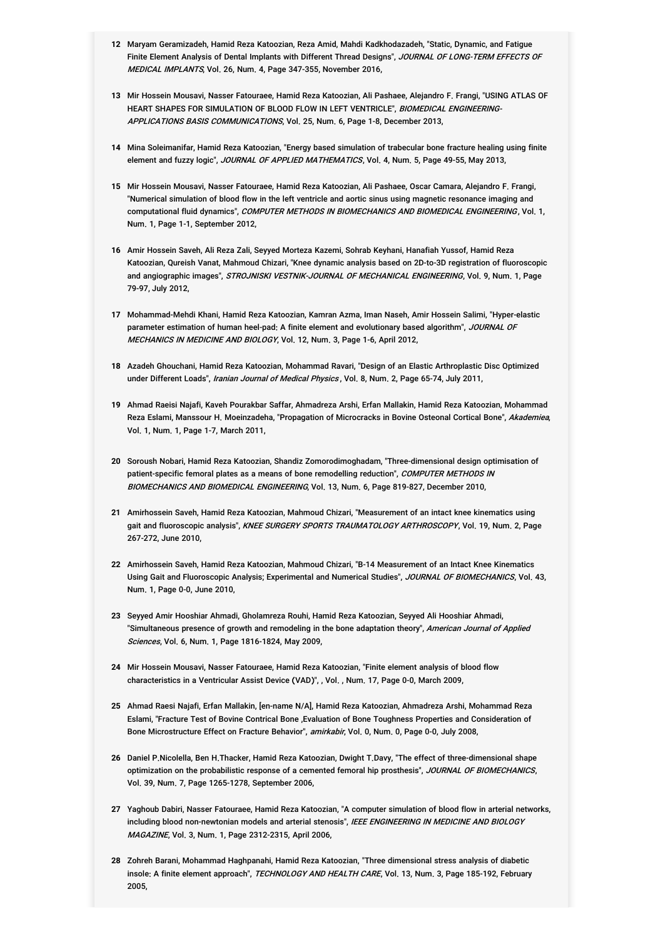- **12** Maryam Geramizadeh, Hamid Reza Katoozian, Reza Amid, Mahdi Kadkhodazadeh, "Static, Dynamic, and Fatigue Finite Element Analysis of Dental Implants with Different Thread Designs", *JOURNAL OF LONG-TERM EFFECTS OF MEDICAL IMPLANTS*, Vol. 26, Num. 4, Page 347-355, November 2016,
- **13** Mir Hossein Mousavi, Nasser Fatouraee, Hamid Reza Katoozian, Ali Pashaee, Alejandro F. Frangi, "USING ATLAS OF HEART SHAPES FOR SIMULATION OF BLOOD FLOW IN LEFT VENTRICLE", *BIOMEDICAL ENGINEERING*-A*PPLICATIONS BASIS COMMUNICATIONS*, Vol. 25, Num. 6, Page 1-8, December 2013,
- **14** Mina Soleimanifar, Hamid Reza Katoozian, "Energy based simulation of trabecular bone fracture healing using finite element and fuzzy logic", JOURNAL OF APPLIED MATHEMATICS, Vol. 4, Num. 5, Page 49-55, May 2013,
- **15** Mir Hossein Mousavi, Nasser Fatouraee, Hamid Reza Katoozian, Ali Pashaee, Oscar Camara, Alejandro F. Frangi, "Numerical simulation of blood flow in the left ventricle and aortic sinus using magnetic resonance imaging and computational fluid dynamics", *COMPUTER METHODS IN BIOMECHANICS AND BIOMEDICAL ENGINEERING*, Vol. 1, Num. 1, Page 1-1, September 2012,
- **16** Amir Hossein Saveh, Ali Reza Zali, Seyyed Morteza Kazemi, Sohrab Keyhani, Hanafiah Yussof, Hamid Reza Katoozian, Qureish Vanat, Mahmoud Chizari, "Knee dynamic analysis based on 2D-to-3D registration of fluoroscopic and angiographic images", *STROJNISKI VESTNIK-JOURNAL OF MECHANICAL ENGINEERING*, Vol. 9, Num. 1, Page 79-97, July 2012,
- **17** Mohammad-Mehdi Khani, Hamid Reza Katoozian, Kamran Azma, Iman Naseh, Amir Hossein Salimi, "Hyper-elastic parameter estimation of human heel-pad: A finite element and evolutionary based algorithm", JOURNAL OF *MECHANICS IN MEDICINE AND BIOLOGY*, Vol. 12, Num. 3, Page 1-6, April 2012,
- **18** Azadeh Ghouchani, Hamid Reza Katoozian, Mohammad Ravari, "Design of an Elastic Arthroplastic Disc Optimized under Different Loads", Iranian Journal of Medical Physics, Vol. 8, Num. 2, Page 65-74, July 2011,
- **19** Ahmad Raeisi Najafi, Kaveh Pourakbar Saffar, Ahmadreza Arshi, Erfan Mallakin, Hamid Reza Katoozian, Mohammad Reza Eslami, Manssour H. Moeinzadeha, "Propagation of Microcracks in Bovine Osteonal Cortical Bone", *Akademiea*, Vol. 1, Num. 1, Page 1-7, March 2011,
- **20** Soroush Nobari, Hamid Reza Katoozian, Shandiz Zomorodimoghadam, "Three-dimensional design optimisation of patient-specific femoral plates as a means of bone remodelling reduction", *COMPUTER METHODS IN BIOMECHANICS AND BIOMEDICAL ENGINEERING*, Vol. 13, Num. 6, Page 819-827, December 2010,
- **21** Amirhossein Saveh, Hamid Reza Katoozian, Mahmoud Chizari, "Measurement of an intact knee kinematics using gait and fluoroscopic analysis", *KNEE SURGERY SPORTS TRAUMATOLOGY ARTHROSCOPY*, Vol. 19, Num. 2, Page 267-272, June 2010,
- **22** Amirhossein Saveh, Hamid Reza Katoozian, Mahmoud Chizari, "B-14 Measurement of an Intact Knee Kinematics Using Gait and Fluoroscopic Analysis; Experimental and Numerical Studies", *JOURNAL OF BIOMECHANICS*, Vol. 43, Num. 1, Page 0-0, June 2010,
- **23** Seyyed Amir Hooshiar Ahmadi, Gholamreza Rouhi, Hamid Reza Katoozian, Seyyed Ali Hooshiar Ahmadi, "Simultaneous presence of growth and remodeling in the bone adaptation theory", *American Journal of Applied Sciences*, Vol. 6, Num. 1, Page 1816-1824, May 2009,
- **24** Mir Hossein Mousavi, Nasser Fatouraee, Hamid Reza Katoozian, "Finite element analysis of blood flow characteristics in a Ventricular Assist Device (VAD)", , Vol. , Num. 17, Page 0-0, March 2009,
- **25** Ahmad Raesi Najafi, Erfan Mallakin, [en-name N/A], Hamid Reza Katoozian, Ahmadreza Arshi, Mohammad Reza Eslami, "Fracture Test of Bovine Contrical Bone ,Evaluation of Bone Toughness Properties and Consideration of Bone Microstructure Effect on Fracture Behavior", amirkabir, Vol. 0, Num. 0, Page 0-0, July 2008,
- **26** Daniel P.Nicolella, Ben H.Thacker, Hamid Reza Katoozian, Dwight T.Davy, "The effect of three-dimensional shape optimization on the probabilistic response of a cemented femoral hip prosthesis", JOURNAL OF BIOMECHANICS, Vol. 39, Num. 7, Page 1265-1278, September 2006,
- **27** Yaghoub Dabiri, Nasser Fatouraee, Hamid Reza Katoozian, "A computer simulation of blood flow in arterial networks, including blood non-newtonian models and arterial stenosis", *IEEE ENGINEERING IN MEDICINE AND BIOLOGY MAGAZINE*, Vol. 3, Num. 1, Page 2312-2315, April 2006,
- **28** Zohreh Barani, Mohammad Haghpanahi, Hamid Reza Katoozian, "Three dimensional stress analysis of diabetic insole: A finite element approach", *TECHNOLOGY AND HEALTH CARE*, Vol. 13, Num. 3, Page 185-192, February 2005,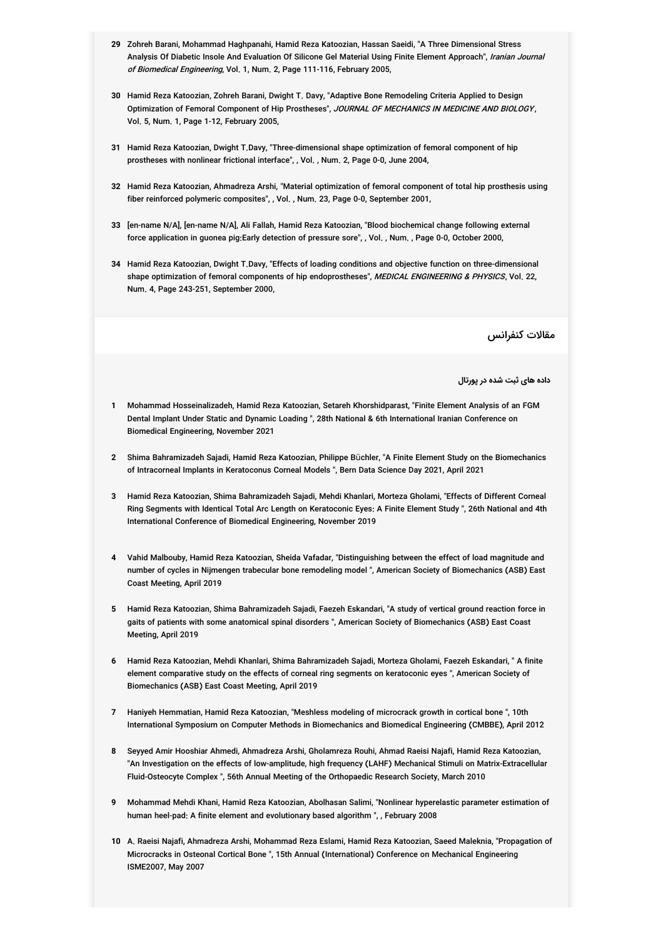- **29** Zohreh Barani, Mohammad Haghpanahi, Hamid Reza Katoozian, Hassan Saeidi, "A Three Dimensional Stress Analysis Of Diabetic Insole And Evaluation Of Silicone Gel Material Using Finite Element Approach", *Iranian Journal* of Biomedical Engineering, Vol. 1, Num. 2, Page 111-116, February 2005,
- **30** Hamid Reza Katoozian, Zohreh Barani, Dwight T. Davy, "Adaptive Bone Remodeling Criteria Applied to Design Optimization of Femoral Component of Hip Prostheses", *JOURNAL OF MECHANICS IN MEDICINE AND BIOLOGY* , Vol. 5, Num. 1, Page 1-12, February 2005,
- **31** Hamid Reza Katoozian, Dwight T.Davy, "Three-dimensional shape optimization of femoral component of hip prostheses with nonlinear frictional interface", , Vol. , Num. 2, Page 0-0, June 2004,
- **32** Hamid Reza Katoozian, Ahmadreza Arshi, "Material optimization of femoral component of total hip prosthesis using fiber reinforced polymeric composites", , Vol. , Num. 23, Page 0-0, September 2001,
- **33** [en-name N/A], [en-name N/A], Ali Fallah, Hamid Reza Katoozian, "Blood biochemical change following external force application in guonea pig:Early detection of pressure sore", , Vol. , Num. , Page 0-0, October 2000,
- **34** Hamid Reza Katoozian, Dwight T.Davy, "Effects of loading conditions and objective function on three-dimensional shape optimization of femoral components of hip endoprostheses", *MEDICAL ENGINEERING & PHYSICS*, Vol. 22, Num. 4, Page 243-251, September 2000,

مقالات کنفرانس

**داده های ثبت شده در پورتال**

- **1** Mohammad Hosseinalizadeh, Hamid Reza Katoozian, Setareh Khorshidparast, "Finite Element Analysis of an FGM Dental Implant Under Static and Dynamic Loading ", 28th National & 6th International Iranian Conference on Biomedical Engineering, November 2021
- **2** Shima Bahramizadeh Sajadi, Hamid Reza Katoozian, Philippe Büchler, "A Finite Element Study on the Biomechanics of Intracorneal Implants in Keratoconus Corneal Models ", Bern Data Science Day 2021, April 2021
- **3** Hamid Reza Katoozian, Shima Bahramizadeh Sajadi, Mehdi Khanlari, Morteza Gholami, "Effects of Different Corneal Ring Segments with Identical Total Arc Length on Keratoconic Eyes: A Finite Element Study ", 26th National and 4th International Conference of Biomedical Engineering, November 2019
- **4** Vahid Malbouby, Hamid Reza Katoozian, Sheida Vafadar, "Distinguishing between the effect of load magnitude and number of cycles in Nijmengen trabecular bone remodeling model ", American Society of Biomechanics (ASB) East Coast Meeting, April 2019
- **5** Hamid Reza Katoozian, Shima Bahramizadeh Sajadi, Faezeh Eskandari, "A study of vertical ground reaction force in gaits of patients with some anatomical spinal disorders ", American Society of Biomechanics (ASB) East Coast Meeting, April 2019
- **6** Hamid Reza Katoozian, Mehdi Khanlari, Shima Bahramizadeh Sajadi, Morteza Gholami, Faezeh Eskandari, " A finite element comparative study on the effects of corneal ring segments on keratoconic eyes ", American Society of Biomechanics (ASB) East Coast Meeting, April 2019
- **7** Haniyeh Hemmatian, Hamid Reza Katoozian, "Meshless modeling of microcrack growth in cortical bone ", 10th International Symposium on Computer Methods in Biomechanics and Biomedical Engineering (CMBBE), April 2012
- **8** Seyyed Amir Hooshiar Ahmedi, Ahmadreza Arshi, Gholamreza Rouhi, Ahmad Raeisi Najafi, Hamid Reza Katoozian, "An Investigation on the effects of low-amplitude, high frequency (LAHF) Mechanical Stimuli on Matrix-Extracellular Fluid-Osteocyte Complex ", 56th Annual Meeting of the Orthopaedic Research Society, March 2010
- **9** Mohammad Mehdi Khani, Hamid Reza Katoozian, Abolhasan Salimi, "Nonlinear hyperelastic parameter estimation of human heel-pad: A finite element and evolutionary based algorithm ", , February 2008
- **10** A. Raeisi Najafi, Ahmadreza Arshi, Mohammad Reza Eslami, Hamid Reza Katoozian, Saeed Maleknia, "Propagation of Microcracks in Osteonal Cortical Bone ", 15th Annual (International) Conference on Mechanical Engineering ISME2007, May 2007